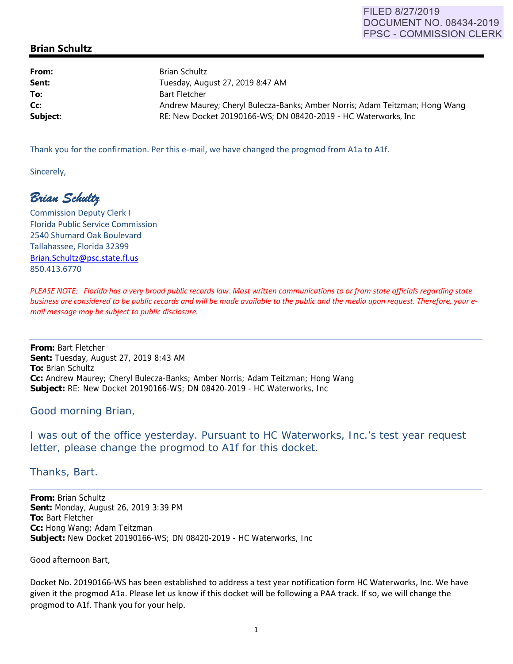## **Brian Schultz**

**From:** Brian Schultz **Sent:** Tuesday, August 27, 2019 8:47 AM **To:** Bart Fletcher **Cc: Andrew Maurey; Cheryl Bulecza-Banks; Amber Norris; Adam Teitzman; Hong Wang Wang Subject:** RE: New Docket 20190166-WS; DN 08420-2019 - HC Waterworks, Inc

Thank you for the confirmation. Per this e-mail, we have changed the progmod from A1a to A1f.

Sincerely,

*Brian Schultz* 

Commission Deputy Clerk I Florida Public Service Commission 2540 Shumard Oak Boulevard Tallahassee, Florida 32399 Brian.Schultz@psc.state.fl.us 850.413.6770

PLEASE NOTE: Florida has a very broad public records law. Most written communications to or from state officials regarding state business are considered to be public records and will be made available to the public and the media upon request. Therefore, your e*mail message may be subject to public disclosure.*

**From:** Bart Fletcher **Sent:** Tuesday, August 27, 2019 8:43 AM **To:** Brian Schultz **Cc:** Andrew Maurey; Cheryl Bulecza-Banks; Amber Norris; Adam Teitzman; Hong Wang **Subject:** RE: New Docket 20190166-WS; DN 08420-2019 - HC Waterworks, Inc

## Good morning Brian,

I was out of the office yesterday. Pursuant to HC Waterworks, Inc.'s test year request letter, please change the progmod to A1f for this docket.

Thanks, Bart.

**From:** Brian Schultz **Sent:** Monday, August 26, 2019 3:39 PM **To:** Bart Fletcher **Cc:** Hong Wang; Adam Teitzman **Subject:** New Docket 20190166-WS; DN 08420-2019 - HC Waterworks, Inc

Good afternoon Bart,

Docket No. 20190166‐WS has been established to address a test year notification form HC Waterworks, Inc. We have given it the progmod A1a. Please let us know if this docket will be following a PAA track. If so, we will change the progmod to A1f. Thank you for your help.